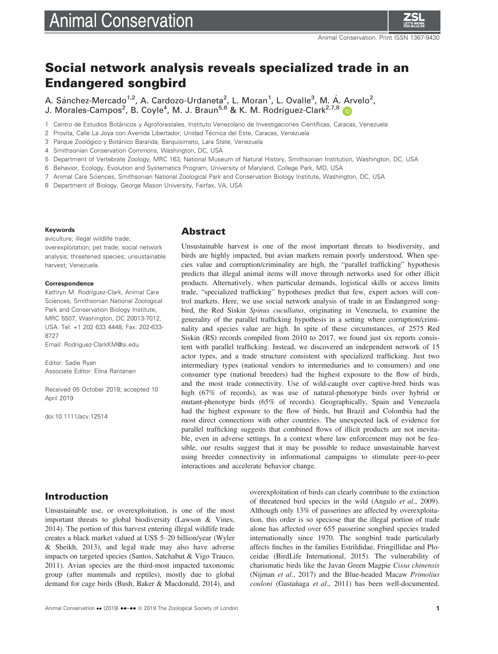# Social network analysis reveals specialized trade in an Endangered songbird

A. Sánchez-Mercado<sup>1,2</sup>, A. Cardozo-Urdaneta<sup>2</sup>, L. Moran<sup>1</sup>, L. Ovalle<sup>3</sup>, M. Á. Arvelo<sup>2</sup>, J. Morales-Campos<sup>2</sup>, B. Coyle<sup>4</sup>, M. J. Braun<sup>5,6</sup> & K. M. Rodríguez-Clark<sup>2,7,[8](https://orcid.org/0000-0002-1356-9998)</sup>

1 Centro de Estudios Botanicos y Agroforestales, Instituto Venezolano de Investigaciones Cientıficas, Caracas, Venezuela

- 2 Provita, Calle La Joya con Avenida Libertador, Unidad Técnica del Este, Caracas, Venezuela
- 3 Parque Zoológico y Botánico Bararida, Barquisimeto, Lara State, Venezuela
- 4 Smithsonian Conservation Commons, Washington, DC, USA
- 5 Department of Vertebrate Zoology, MRC 163, National Museum of Natural History, Smithsonian Institution, Washington, DC, USA
- 6 Behavior, Ecology, Evolution and Systematics Program, University of Maryland, College Park, MD, USA
- 7 Animal Care Sciences, Smithsonian National Zoological Park and Conservation Biology Institute, Washington, DC, USA
- 8 Department of Biology, George Mason University, Fairfax, VA, USA

#### Keywords

aviculture; illegal wildlife trade; overexploitation; pet trade; social network analysis; threatened species; unsustainable harvest; Venezuela.

#### Correspondence

Kathryn M. Rodríguez-Clark, Animal Care Sciences, Smithsonian National Zoological Park and Conservation Biology Institute, MRC 5507, Washington, DC 20013-7012, USA. Tel: +1 202 633 4448; Fax: 202-633- 8727

Email: [Rodriguez-ClarkKM@si.edu](mailto:)

Editor: Sadie Ryan Associate Editor: Elina Rantanen

Received 05 October 2018; accepted 10 April 2019

doi:10.1111/acv.12514

Introduction

## Abstract

Unsustainable harvest is one of the most important threats to biodiversity, and birds are highly impacted, but avian markets remain poorly understood. When species value and corruption/criminality are high, the "parallel trafficking" hypothesis predicts that illegal animal items will move through networks used for other illicit products. Alternatively, when particular demands, logistical skills or access limits trade, "specialized trafficking" hypotheses predict that few, expert actors will control markets. Here, we use social network analysis of trade in an Endangered songbird, the Red Siskin Spinus cucullatus, originating in Venezuela, to examine the generality of the parallel trafficking hypothesis in a setting where corruption/criminality and species value are high. In spite of these circumstances, of 2575 Red Siskin (RS) records compiled from 2010 to 2017, we found just six reports consistent with parallel trafficking. Instead, we discovered an independent network of 15 actor types, and a trade structure consistent with specialized trafficking. Just two intermediary types (national vendors to intermediaries and to consumers) and one consumer type (national breeders) had the highest exposure to the flow of birds, and the most trade connectivity. Use of wild-caught over captive-bred birds was high (67% of records), as was use of natural-phenotype birds over hybrid or mutant-phenotype birds (65% of records). Geographically, Spain and Venezuela had the highest exposure to the flow of birds, but Brazil and Colombia had the most direct connections with other countries. The unexpected lack of evidence for parallel trafficking suggests that combined flows of illicit products are not inevitable, even in adverse settings. In a context where law enforcement may not be feasible, our results suggest that it may be possible to reduce unsustainable harvest using breeder connectivity in informational campaigns to stimulate peer-to-peer interactions and accelerate behavior change.

Unsustainable use, or overexploitation, is one of the most important threats to global biodiversity (Lawson & Vines, 2014). The portion of this harvest entering illegal wildlife trade creates a black market valued at US\$ 5–20 billion/year (Wyler & Sheikh, 2013), and legal trade may also have adverse impacts on targeted species (Santos, Satchabut & Vigo Trauco, 2011). Avian species are the third-most impacted taxonomic group (after mammals and reptiles), mostly due to global demand for cage birds (Bush, Baker & Macdonald, 2014), and overexploitation of birds can clearly contribute to the extinction of threatened bird species in the wild (Angulo et al., 2009). Although only 13% of passerines are affected by overexploitation, this order is so speciose that the illegal portion of trade alone has affected over 655 passerine songbird species traded internationally since 1970. The songbird trade particularly affects finches in the families Estrildidae, Fringillidae and Ploceidae (BirdLife International, 2015). The vulnerability of charismatic birds like the Javan Green Magpie Cissa chinensis (Nijman et al., 2017) and the Blue-headed Macaw Primolius  $couloni$  (Gastañaga et al., 2011) has been well-documented.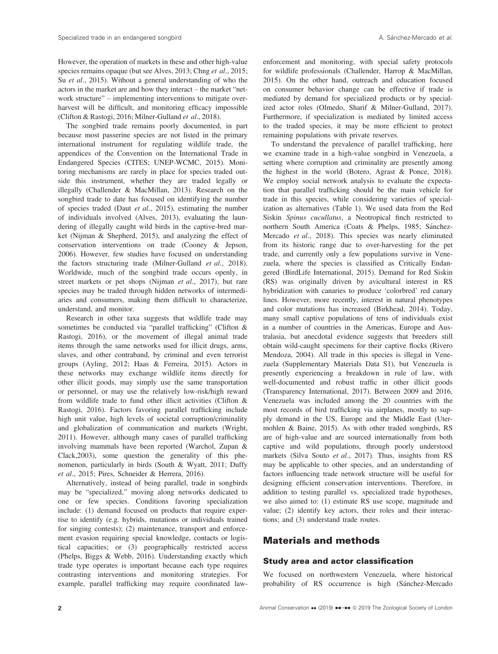However, the operation of markets in these and other high-value species remains opaque (but see Alves, 2013; Chng et al., 2015; Su *et al.*, 2015). Without a general understanding of who the actors in the market are and how they interact – the market "network structure" – implementing interventions to mitigate overharvest will be difficult, and monitoring efficacy impossible (Clifton & Rastogi, 2016; Milner-Gulland et al., 2018).

The songbird trade remains poorly documented, in part because most passerine species are not listed in the primary international instrument for regulating wildlife trade, the appendices of the Convention on the International Trade in Endangered Species (CITES; UNEP-WCMC, 2015). Monitoring mechanisms are rarely in place for species traded outside this instrument, whether they are traded legally or illegally (Challender & MacMillan, 2013). Research on the songbird trade to date has focused on identifying the number of species traded (Daut et al., 2015), estimating the number of individuals involved (Alves, 2013), evaluating the laundering of illegally caught wild birds in the captive-bred market (Nijman & Shepherd, 2015), and analyzing the effect of conservation interventions on trade (Cooney & Jepson, 2006). However, few studies have focused on understanding the factors structuring trade (Milner-Gulland et al., 2018). Worldwide, much of the songbird trade occurs openly, in street markets or pet shops (Nijman et al., 2017), but rare species may be traded through hidden networks of intermediaries and consumers, making them difficult to characterize, understand, and monitor.

Research in other taxa suggests that wildlife trade may sometimes be conducted via "parallel trafficking" (Clifton & Rastogi, 2016), or the movement of illegal animal trade items through the same networks used for illicit drugs, arms, slaves, and other contraband, by criminal and even terrorist groups (Ayling, 2012; Haas & Ferreira, 2015). Actors in these networks may exchange wildlife items directly for other illicit goods, may simply use the same transportation or personnel, or may use the relatively low-risk/high reward from wildlife trade to fund other illicit activities (Clifton & Rastogi, 2016). Factors favoring parallel trafficking include high unit value, high levels of societal corruption/criminality and globalization of communication and markets (Wright, 2011). However, although many cases of parallel trafficking involving mammals have been reported (Warchol, Zupan & Clack,2003), some question the generality of this phenomenon, particularly in birds (South & Wyatt, 2011; Duffy et al., 2015; Pires, Schneider & Herrera, 2016).

Alternatively, instead of being parallel, trade in songbirds may be "specialized," moving along networks dedicated to one or few species. Conditions favoring specialization include: (1) demand focused on products that require expertise to identify (e.g. hybrids, mutations or individuals trained for singing contests); (2) maintenance, transport and enforcement evasion requiring special knowledge, contacts or logistical capacities; or (3) geographically restricted access (Phelps, Biggs & Webb, 2016). Understanding exactly which trade type operates is important because each type requires contrasting interventions and monitoring strategies. For example, parallel trafficking may require coordinated lawenforcement and monitoring, with special safety protocols for wildlife professionals (Challender, Harrop & MacMillan, 2015). On the other hand, outreach and education focused on consumer behavior change can be effective if trade is mediated by demand for specialized products or by specialized actor roles (Olmedo, Sharif & Milner-Gulland, 2017). Furthermore, if specialization is mediated by limited access to the traded species, it may be more efficient to protect remaining populations with private reserves.

To understand the prevalence of parallel trafficking, here we examine trade in a high-value songbird in Venezuela, a setting where corruption and criminality are presently among the highest in the world (Botero, Agrast & Ponce, 2018). We employ social network analysis to evaluate the expectation that parallel trafficking should be the main vehicle for trade in this species, while considering varieties of specialization as alternatives (Table 1). We used data from the Red Siskin Spinus cucullatus, a Neotropical finch restricted to northern South America (Coats & Phelps, 1985; Sánchez-Mercado et al., 2018). This species was nearly eliminated from its historic range due to over-harvesting for the pet trade, and currently only a few populations survive in Venezuela, where the species is classified as Critically Endangered (BirdLife International, 2015). Demand for Red Siskin (RS) was originally driven by avicultural interest in RS hybridization with canaries to produce 'colorbred' red canary lines. However, more recently, interest in natural phenotypes and color mutations has increased (Birkhead, 2014). Today, many small captive populations of tens of individuals exist in a number of countries in the Americas, Europe and Australasia, but anecdotal evidence suggests that breeders still obtain wild-caught specimens for their captive flocks (Rivero Mendoza, 2004). All trade in this species is illegal in Venezuela (Supplementary Materials Data S1), but Venezuela is presently experiencing a breakdown in rule of law, with well-documented and robust traffic in other illicit goods (Transparency International, 2017). Between 2009 and 2016, Venezuela was included among the 20 countries with the most records of bird trafficking via airplanes, mostly to supply demand in the US, Europe and the Middle East (Utermohlen & Baine, 2015). As with other traded songbirds, RS are of high-value and are sourced internationally from both captive and wild populations, through poorly understood markets (Silva Souto et al., 2017). Thus, insights from RS may be applicable to other species, and an understanding of factors influencing trade network structure will be useful for designing efficient conservation interventions. Therefore, in addition to testing parallel vs. specialized trade hypotheses, we also aimed to: (1) estimate RS use scope, magnitude and value; (2) identify key actors, their roles and their interactions; and (3) understand trade routes.

## Materials and methods

#### Study area and actor classification

We focused on northwestern Venezuela, where historical probability of RS occurrence is high (Sanchez-Mercado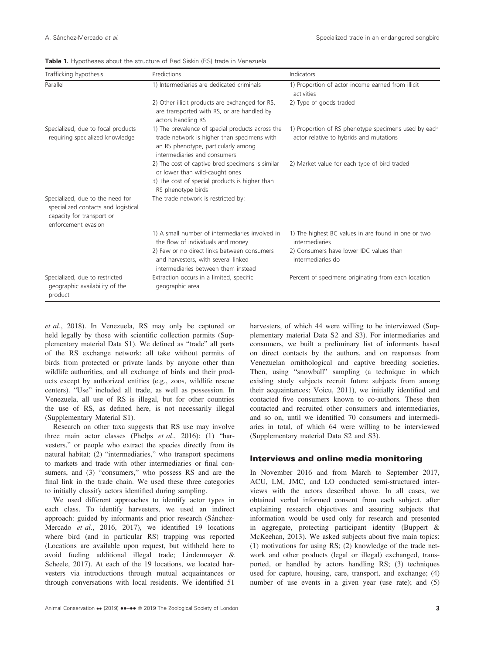| Trafficking hypothesis                                                                                                      | Predictions                                                                                                                                                            | Indicators                                                                                      |
|-----------------------------------------------------------------------------------------------------------------------------|------------------------------------------------------------------------------------------------------------------------------------------------------------------------|-------------------------------------------------------------------------------------------------|
| Parallel                                                                                                                    | 1) Intermediaries are dedicated criminals                                                                                                                              | 1) Proportion of actor income earned from illicit<br>activities                                 |
|                                                                                                                             | 2) Other illicit products are exchanged for RS,<br>are transported with RS, or are handled by<br>actors handling RS                                                    | 2) Type of goods traded                                                                         |
| Specialized, due to focal products<br>requiring specialized knowledge                                                       | 1) The prevalence of special products across the<br>trade network is higher than specimens with<br>an RS phenotype, particularly among<br>intermediaries and consumers | 1) Proportion of RS phenotype specimens used by each<br>actor relative to hybrids and mutations |
|                                                                                                                             | 2) The cost of captive bred specimens is similar<br>or lower than wild-caught ones<br>3) The cost of special products is higher than<br>RS phenotype birds             | 2) Market value for each type of bird traded                                                    |
| Specialized, due to the need for<br>specialized contacts and logistical<br>capacity for transport or<br>enforcement evasion | The trade network is restricted by:                                                                                                                                    |                                                                                                 |
|                                                                                                                             | 1) A small number of intermediaries involved in<br>the flow of individuals and money                                                                                   | 1) The highest BC values in are found in one or two<br>intermediaries                           |
|                                                                                                                             | 2) Few or no direct links between consumers<br>and harvesters, with several linked<br>intermediaries between them instead                                              | 2) Consumers have lower IDC values than<br>intermediaries do                                    |
| Specialized, due to restricted<br>geographic availability of the<br>product                                                 | Extraction occurs in a limited, specific<br>geographic area                                                                                                            | Percent of specimens originating from each location                                             |

et al., 2018). In Venezuela, RS may only be captured or held legally by those with scientific collection permits (Supplementary material Data S1). We defined as "trade" all parts of the RS exchange network: all take without permits of birds from protected or private lands by anyone other than wildlife authorities, and all exchange of birds and their products except by authorized entities (e.g., zoos, wildlife rescue centers). "Use" included all trade, as well as possession. In Venezuela, all use of RS is illegal, but for other countries the use of RS, as defined here, is not necessarily illegal (Supplementary Material S1).

Research on other taxa suggests that RS use may involve three main actor classes (Phelps et al., 2016): (1) "harvesters," or people who extract the species directly from its natural habitat; (2) "intermediaries," who transport specimens to markets and trade with other intermediaries or final consumers, and (3) "consumers," who possess RS and are the final link in the trade chain. We used these three categories to initially classify actors identified during sampling.

We used different approaches to identify actor types in each class. To identify harvesters, we used an indirect approach: guided by informants and prior research (Sánchez-Mercado et al., 2016, 2017), we identified 19 locations where bird (and in particular RS) trapping was reported (Locations are available upon request, but withheld here to avoid fueling additional illegal trade; Lindenmayer & Scheele, 2017). At each of the 19 locations, we located harvesters via introductions through mutual acquaintances or through conversations with local residents. We identified 51

harvesters, of which 44 were willing to be interviewed (Supplementary material Data S2 and S3). For intermediaries and consumers, we built a preliminary list of informants based on direct contacts by the authors, and on responses from Venezuelan ornithological and captive breeding societies. Then, using "snowball" sampling (a technique in which existing study subjects recruit future subjects from among their acquaintances; Voicu, 2011), we initially identified and contacted five consumers known to co-authors. These then contacted and recruited other consumers and intermediaries, and so on, until we identified 70 consumers and intermediaries in total, of which 64 were willing to be interviewed (Supplementary material Data S2 and S3).

#### Interviews and online media monitoring

In November 2016 and from March to September 2017, ACU, LM, JMC, and LO conducted semi-structured interviews with the actors described above. In all cases, we obtained verbal informed consent from each subject, after explaining research objectives and assuring subjects that information would be used only for research and presented in aggregate, protecting participant identity (Buppert & McKeehan, 2013). We asked subjects about five main topics: (1) motivations for using RS; (2) knowledge of the trade network and other products (legal or illegal) exchanged, transported, or handled by actors handling RS; (3) techniques used for capture, housing, care, transport, and exchange; (4) number of use events in a given year (use rate); and (5)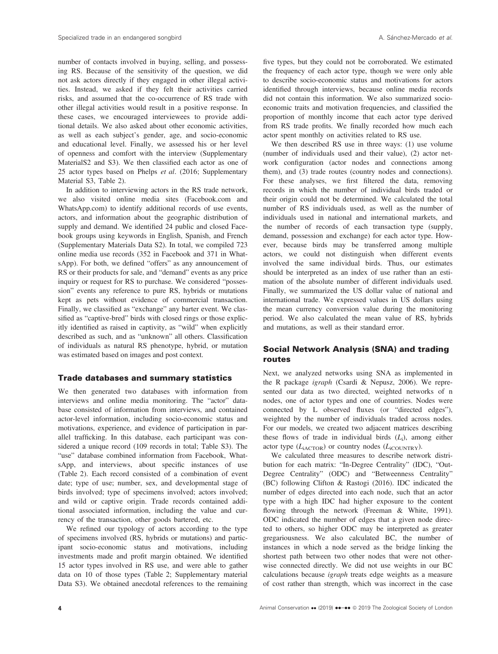number of contacts involved in buying, selling, and possessing RS. Because of the sensitivity of the question, we did not ask actors directly if they engaged in other illegal activities. Instead, we asked if they felt their activities carried risks, and assumed that the co-occurrence of RS trade with other illegal activities would result in a positive response. In these cases, we encouraged interviewees to provide additional details. We also asked about other economic activities, as well as each subject's gender, age, and socio-economic and educational level. Finally, we assessed his or her level of openness and comfort with the interview (Supplementary MaterialS2 and S3). We then classified each actor as one of 25 actor types based on Phelps et al. (2016; Supplementary Material S3, Table 2).

In addition to interviewing actors in the RS trade network, we also visited online media sites (Facebook.com and WhatsApp.com) to identify additional records of use events, actors, and information about the geographic distribution of supply and demand. We identified 24 public and closed Facebook groups using keywords in English, Spanish, and French (Supplementary Materials Data S2). In total, we compiled 723 online media use records (352 in Facebook and 371 in WhatsApp). For both, we defined "offers" as any announcement of RS or their products for sale, and "demand" events as any price inquiry or request for RS to purchase. We considered "possession" events any reference to pure RS, hybrids or mutations kept as pets without evidence of commercial transaction. Finally, we classified as "exchange" any barter event. We classified as "captive-bred" birds with closed rings or those explicitly identified as raised in captivity, as "wild" when explicitly described as such, and as "unknown" all others. Classification of individuals as natural RS phenotype, hybrid, or mutation was estimated based on images and post context.

#### Trade databases and summary statistics

We then generated two databases with information from interviews and online media monitoring. The "actor" database consisted of information from interviews, and contained actor-level information, including socio-economic status and motivations, experience, and evidence of participation in parallel trafficking. In this database, each participant was considered a unique record (109 records in total; Table S3). The "use" database combined information from Facebook, WhatsApp, and interviews, about specific instances of use (Table 2). Each record consisted of a combination of event date; type of use; number, sex, and developmental stage of birds involved; type of specimens involved; actors involved; and wild or captive origin. Trade records contained additional associated information, including the value and currency of the transaction, other goods bartered, etc.

We refined our typology of actors according to the type of specimens involved (RS, hybrids or mutations) and participant socio-economic status and motivations, including investments made and profit margin obtained. We identified 15 actor types involved in RS use, and were able to gather data on 10 of those types (Table 2; Supplementary material Data S3). We obtained anecdotal references to the remaining five types, but they could not be corroborated. We estimated the frequency of each actor type, though we were only able to describe socio-economic status and motivations for actors identified through interviews, because online media records did not contain this information. We also summarized socioeconomic traits and motivation frequencies, and classified the proportion of monthly income that each actor type derived from RS trade profits. We finally recorded how much each actor spent monthly on activities related to RS use.

We then described RS use in three ways: (1) use volume (number of individuals used and their value), (2) actor network configuration (actor nodes and connections among them), and (3) trade routes (country nodes and connections). For these analyses, we first filtered the data, removing records in which the number of individual birds traded or their origin could not be determined. We calculated the total number of RS individuals used, as well as the number of individuals used in national and international markets, and the number of records of each transaction type (supply, demand, possession and exchange) for each actor type. However, because birds may be transferred among multiple actors, we could not distinguish when different events involved the same individual birds. Thus, our estimates should be interpreted as an index of use rather than an estimation of the absolute number of different individuals used. Finally, we summarized the US dollar value of national and international trade. We expressed values in US dollars using the mean currency conversion value during the monitoring period. We also calculated the mean value of RS, hybrids and mutations, as well as their standard error.

## Social Network Analysis (SNA) and trading routes

Next, we analyzed networks using SNA as implemented in the R package igraph (Csardi & Nepusz, 2006). We represented our data as two directed, weighted networks of n nodes, one of actor types and one of countries. Nodes were connected by L observed fluxes (or "directed edges"), weighted by the number of individuals traded across nodes. For our models, we created two adjacent matrices describing these flows of trade in individual birds  $(L_i)$ , among either actor type  $(L_{iACTOR})$  or country nodes  $(L_{iCOUNTRY})$ .

We calculated three measures to describe network distribution for each matrix: "In-Degree Centrality" (IDC), "Out-Degree Centrality" (ODC) and "Betweenness Centrality" (BC) following Clifton & Rastogi (2016). IDC indicated the number of edges directed into each node, such that an actor type with a high IDC had higher exposure to the content flowing through the network (Freeman & White, 1991). ODC indicated the number of edges that a given node directed to others, so higher ODC may be interpreted as greater gregariousness. We also calculated BC, the number of instances in which a node served as the bridge linking the shortest path between two other nodes that were not otherwise connected directly. We did not use weights in our BC calculations because igraph treats edge weights as a measure of cost rather than strength, which was incorrect in the case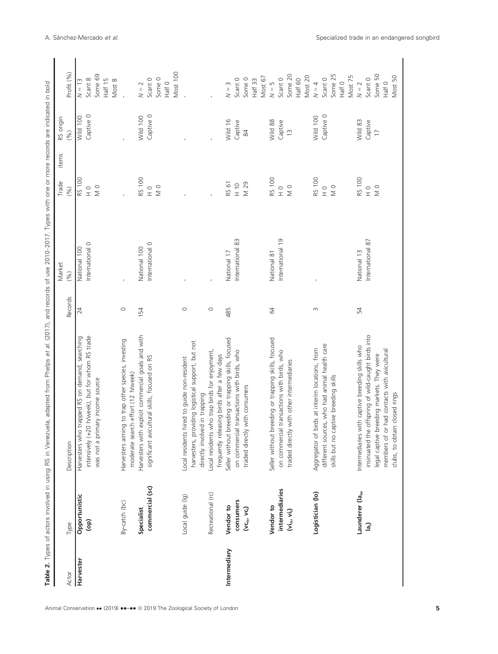| Actor        | Type                           | Description                                                                                       | Records       | Market<br>(96)                  | Trade<br>(%)                                          | RS origin<br>(96)<br>items | Profit (%)          |
|--------------|--------------------------------|---------------------------------------------------------------------------------------------------|---------------|---------------------------------|-------------------------------------------------------|----------------------------|---------------------|
|              |                                |                                                                                                   |               |                                 |                                                       |                            |                     |
| Harvester    | Opportunistic<br>$\widehat{e}$ | intensively (+20 h/week), but for whom RS trade<br>Harvesters who trapped RS on demand, searching | 24            | International 0<br>National 100 | RS 100<br>$\begin{array}{c}\n0 \\ \perp\n\end{array}$ | Captive 0<br>Wild 100      | Scant 8<br>$N = 13$ |
|              |                                | was not a primary income source                                                                   |               |                                 | $\rm\stackrel{O}{\geq}$                               |                            | Some 69             |
|              |                                |                                                                                                   |               |                                 |                                                       |                            | Half 15             |
|              |                                |                                                                                                   |               |                                 |                                                       |                            | Most 8              |
|              | By-catch (bc)                  | Harvesters aiming to trap other species, investing                                                | $\circ$       |                                 |                                                       |                            |                     |
|              |                                | moderate search effort (12 h/week)                                                                |               |                                 |                                                       |                            |                     |
|              | Specialist                     | Harvesters with explicit commercial goals and with                                                | 54            | National 100                    | RS 100                                                | Wild 100                   | $N = 2$             |
|              | commercial (sc)                | significant avicultural skills, focused on RS                                                     |               | International 0                 | $\frac{1}{2}$                                         | Captive 0                  | Scant 0             |
|              |                                |                                                                                                   |               |                                 | $\frac{0}{2}$                                         |                            | Some 0              |
|              |                                |                                                                                                   |               |                                 |                                                       |                            | Half 0              |
|              |                                |                                                                                                   |               |                                 |                                                       |                            | Most 100            |
|              | Local guide (Ig)               | Local residents hired to guide non-resident                                                       | $\circ$       |                                 |                                                       |                            |                     |
|              |                                | roviding logistical support, but not<br>harvesters, pr                                            |               |                                 |                                                       |                            |                     |
|              |                                | directly involved in trapping                                                                     |               |                                 |                                                       |                            |                     |
|              | Recreational (rc)              | Local residents who trap birds for enjoyment,                                                     | $\circ$       |                                 |                                                       |                            |                     |
|              |                                | frequently releasing birds after a few days                                                       |               |                                 |                                                       |                            |                     |
| Intermediary | Vendor to                      | Seller without breeding or trapping skills, focused                                               | 485           | National 17                     | RS 61                                                 | Wild 16                    | $N = 3$             |
|              | consumers                      | on commercial transactions with birds, who                                                        |               | 83<br>International             | $\frac{10}{1}$                                        | Captive                    | Scant 0             |
|              | $(v_{C_{11}}$ , $v_{C_1}$      | traded directly with consumers                                                                    |               |                                 | M 29                                                  | $\approx$                  | Some 0              |
|              |                                |                                                                                                   |               |                                 |                                                       |                            | Half 33             |
|              |                                |                                                                                                   |               |                                 |                                                       |                            | Most 67             |
|              | Vendor to                      | Seller without breeding or trapping skills, focused                                               | $\mathcal{Z}$ | National 81                     | RS 100                                                | Wild 88                    | $N = 5$             |
|              | intermediaries                 | on commercial transactions with birds, who                                                        |               | International 19                | $\begin{array}{c}\n0 \\ \hline\n\end{array}$          | Captive                    | Scant 0             |
|              | $(v_i, v_i)$                   | traded directly with other intermediaries                                                         |               |                                 |                                                       | $\frac{1}{2}$              | Some 20             |
|              |                                |                                                                                                   |               |                                 |                                                       |                            | Half 60             |
|              |                                |                                                                                                   |               |                                 |                                                       |                            | Most 20             |
|              | Logistician (lo)               | birds at interim locations, from<br>Aggregator of                                                 | $\sim$        |                                 | RS 100                                                | Wild 100                   | $N = 4$             |
|              |                                | different sources, who had animal health care                                                     |               |                                 | $\begin{array}{c}\n0 \\ \hline\n\end{array}$          | Captive 0                  | Scant 0             |
|              |                                | captive breeding skills<br>skills but no                                                          |               |                                 |                                                       |                            | Some 25             |
|              |                                |                                                                                                   |               |                                 |                                                       |                            | Half 0              |
|              |                                |                                                                                                   |               |                                 |                                                       |                            | Most 75             |
|              | Launderer (lan                 | Intermediaries with captive breeding skills who                                                   | 54            | National 13                     | RS 100                                                | Wild 83                    | $N = 2$             |
|              | $\hat{a}$                      | insinuated the offspring of wild-caught birds into                                                |               | 87<br>International             | $\begin{array}{c}\n0 \\ \hline\n\end{array}$          | Captive                    | Scant 0             |
|              |                                | legal captive breeding markets. They were                                                         |               |                                 |                                                       | $\overline{1}$             | Some 50             |
|              |                                | or had contacts with avicultural<br>members of                                                    |               |                                 |                                                       |                            | Half 0              |
|              |                                | clubs, to obtain closed rings                                                                     |               |                                 |                                                       |                            | Most 50             |
|              |                                |                                                                                                   |               |                                 |                                                       |                            |                     |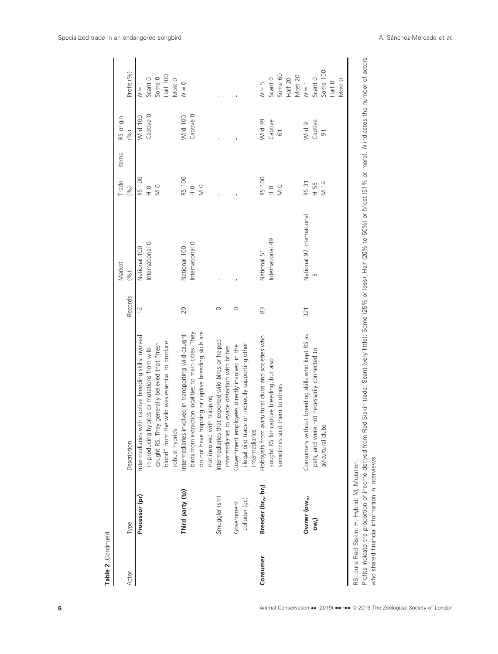| Table 2 Continued. |                                              |                                                       |                |                           |               |       |                     |                         |
|--------------------|----------------------------------------------|-------------------------------------------------------|----------------|---------------------------|---------------|-------|---------------------|-------------------------|
| Actor              | Type                                         | Description                                           | Records        | Market<br>(96)            | Trade<br>(96) | items | RS origin<br>$(96)$ | Profit (%)              |
|                    | Processor (pr)                               | Intermediaries with captive breeding skills involved  | $\overline{C}$ | National 100              | RS 100        |       | Wild 100            | $N = 1$                 |
|                    |                                              | hybrids or mutations from wild-<br>in producing       |                | International 0           | $\frac{0}{1}$ |       | Captive 0           | Scant 0                 |
|                    |                                              | caught RS. They generally believed that "fresh        |                |                           | $\frac{0}{2}$ |       |                     | Some 0                  |
|                    |                                              | blood" from the wild was essential to produce         |                |                           |               |       |                     | Half 100                |
|                    |                                              | robust hybrids                                        |                |                           |               |       |                     | Most 0                  |
|                    | Third party (tp)                             | Intermediaries involved in transporting wild-caught   | 20             | National 100              | RS 100        |       | Wild 100            | $N = 0$                 |
|                    |                                              | birds from extraction localities to main cities. They |                | International 0           | o<br>I        |       | Captive 0           |                         |
|                    |                                              | do not have trapping or captive breeding skills are   |                |                           | $\frac{0}{2}$ |       |                     |                         |
|                    |                                              | not involved with trapping                            |                |                           |               |       |                     |                         |
|                    | Smuggler (sm)                                | Intermediaries that exported wild birds or helped     | $\circ$        |                           |               |       |                     |                         |
|                    |                                              | intermediaries to evade detection with bribes         |                |                           |               |       |                     |                         |
|                    | Government                                   | Government employees directly involved in the         | $\circ$        |                           |               |       |                     |                         |
|                    | colluder (gc)                                | illegal bird trade or indirectly supporting other     |                |                           |               |       |                     |                         |
|                    |                                              | intermediaries                                        |                |                           |               |       |                     |                         |
| Consumer           | Breeder (br <sub>n</sub> , br <sub>i</sub> ) | Hobbyists from avicultural clubs and societies who    | 83             | National 51               | RS 100        |       | Wild 39             | $N = 5$                 |
|                    |                                              | sought RS for captive breeding, but also              |                | International 49          | O<br>I        |       | Captive             | Scant 0                 |
|                    |                                              | sometimes sold them to others                         |                |                           | $\frac{0}{2}$ |       | $\overline{6}$      | Some 60                 |
|                    |                                              |                                                       |                |                           |               |       |                     | Half 20                 |
|                    |                                              |                                                       |                |                           |               |       |                     | Most 20                 |
|                    | Owner (ow <sub>n</sub>                       | Consumers without breeding skills who kept RS as      | 321            | National 97 International | RS 31         |       | Wild 9              | $\mathsf{N}=\mathsf{1}$ |
|                    | ow <sub>i</sub> )                            | pets, and were not necessarily connected to           |                | $\infty$                  | H 55          |       | Captive             | Scant 0                 |
|                    |                                              | avicultural clubs                                     |                |                           | M 14          |       | $\overline{9}$      | Some 100                |
|                    |                                              |                                                       |                |                           |               |       |                     | Half 0                  |
|                    |                                              |                                                       |                |                           |               |       |                     | Most <sub>0</sub>       |
|                    | RS, pure Red Siskin; H, Hybrid; M, Mutation. |                                                       |                |                           |               |       |                     |                         |

indicates the number of actors

Profits indicate the proportion of income derived from Red Siskin trade: Scant (very little); Some (25% or less); Half (26% to 50%) or Most (51% or more). Profits indicate the proportion of income derived from Red Siskin trade: Scant (very little); Some (25% or less); Half (26% to 50%) or Most (51% or more). N indicates the number of actors<br>who shared financial information i

who shared financial information in interviews.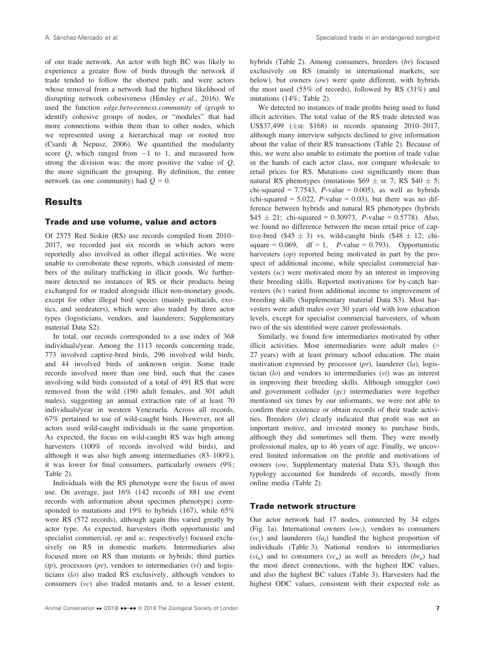of our trade network. An actor with high BC was likely to experience a greater flow of birds through the network if trade tended to follow the shortest path, and were actors whose removal from a network had the highest likelihood of disrupting network cohesiveness (Hinsley et al., 2016). We used the function edge.betweenness.community of igraph to identify cohesive groups of nodes, or "modules" that had more connections within them than to other nodes, which we represented using a hierarchical map or rooted tree (Csardi & Nepusz, 2006). We quantified the modularity score  $Q$ , which ranged from  $-1$  to 1, and measured how strong the division was: the more positive the value of  $Q$ , the more significant the grouping. By definition, the entire network (as one community) had  $Q = 0$ .

## **Results**

#### Trade and use volume, value and actors

Of 2575 Red Siskin (RS) use records compiled from 2010– 2017, we recorded just six records in which actors were reportedly also involved in other illegal activities. We were unable to corroborate these reports, which consisted of members of the military trafficking in illicit goods. We furthermore detected no instances of RS or their products being exchanged for or traded alongside illicit non-monetary goods, except for other illegal bird species (mainly psittacids, exotics, and seedeaters), which were also traded by three actor types (logisticians, vendors, and launderers; Supplementary material Data S2).

In total, our records corresponded to a use index of 368 individuals/year. Among the 1113 records concerning trade, 773 involved captive-bred birds, 296 involved wild birds, and 44 involved birds of unknown origin. Some trade records involved more than one bird, such that the cases involving wild birds consisted of a total of 491 RS that were removed from the wild (190 adult females, and 301 adult males), suggesting an annual extraction rate of at least 70 individuals/year in western Venezuela. Across all records, 67% pertained to use of wild-caught birds. However, not all actors used wild-caught individuals in the same proportion. As expected, the focus on wild-caught RS was high among harvesters (100% of records involved wild birds), and although it was also high among intermediaries (83–100%), it was lower for final consumers, particularly owners (9%; Table 2).

Individuals with the RS phenotype were the focus of most use. On average, just 16% (142 records of 881 use event records with information about specimen phenotype) corresponded to mutations and 19% to hybrids (167), while 65% were RS (572 records), although again this varied greatly by actor type. As expected, harvesters (both opportunistic and specialist commercial, *op* and *sc*, respectively) focused exclusively on RS in domestic markets. Intermediaries also focused more on RS than mutants or hybrids; third parties  $(tp)$ , processors  $(pr)$ , vendors to intermediaries  $(vi)$  and logisticians (lo) also traded RS exclusively, although vendors to consumers (vc) also traded mutants and, to a lesser extent,

hybrids (Table 2). Among consumers, breeders (br) focused exclusively on RS (mainly in international markets; see below), but owners (ow) were quite different, with hybrids the most used (55% of records), followed by RS (31%) and mutations (14%; Table 2).

We detected no instances of trade profits being used to fund illicit activities. The total value of the RS trade detected was US\$37,499 ( $\pm$ se \$168) in records spanning 2010–2017, although many interview subjects declined to give information about the value of their RS transactions (Table 2). Because of this, we were also unable to estimate the portion of trade value in the hands of each actor class, nor compare wholesale to retail prices for RS. Mutations cost significantly more than natural RS phenotypes (mutations  $$69 \pm sE$  7; RS  $$40 \pm 5$ ; chi-squared = 7.7543, *P*-value = 0.005), as well as hybrids (chi-squared =  $5.022$ , *P*-value = 0.03), but there was no difference between hybrids and natural RS phenotypes (hybrids  $$45 \pm 21$ ; chi-squared = 0.30973, P-value = 0.5778). Also, we found no difference between the mean retail price of captive-bred (\$45  $\pm$  3) vs. wild-caught birds (\$48  $\pm$  12; chisquare =  $0.069$ , df = 1, P-value = 0.793). Opportunistic harvesters (*op*) reported being motivated in part by the prospect of additional income, while specialist commercial harvesters (sc) were motivated more by an interest in improving their breeding skills. Reported motivations for by-catch harvesters (bc) varied from additional income to improvement of breeding skills (Supplementary material Data S3). Most harvesters were adult males over 30 years old with low education levels, except for specialist commercial harvesters, of whom two of the six identified were career professionals.

Similarly, we found few intermediaries motivated by other illicit activities. Most intermediaries were adult males (> 27 years) with at least primary school education. The main motivation expressed by processor  $(pr)$ , launderer  $(la)$ , logistician  $(lo)$  and vendors to intermediaries  $(vi)$  was an interest in improving their breeding skills. Although smuggler  $(sm)$ and government colluder (gc) intermediaries were together mentioned six times by our informants, we were not able to confirm their existence or obtain records of their trade activities. Breeders (br) clearly indicated that profit was not an important motive, and invested money to purchase birds, although they did sometimes sell them. They were mostly professional males, up to 46 years of age. Finally, we uncovered limited information on the profile and motivations of owners (ow, Supplementary material Data S3), though this typology accounted for hundreds of records, mostly from online media (Table 2).

#### Trade network structure

Our actor network had 17 nodes, connected by 34 edges (Fig. 1a). International owners  $(ow_i)$ , vendors to consumers  $(vc_i)$  and launderers  $(la_i)$  handled the highest proportion of individuals (Table 3). National vendors to intermediaries  $(v_i)$  and to consumers  $(v_i)$  as well as breeders  $(b_i)$  had the most direct connections, with the highest IDC values, and also the highest BC values (Table 3). Harvesters had the highest ODC values, consistent with their expected role as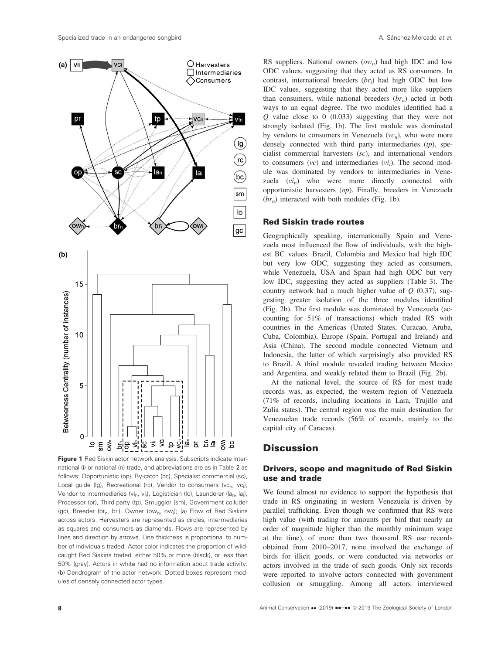

Figure 1 Red Siskin actor network analysis. Subscripts indicate international (i) or national (n) trade, and abbreviations are as in Table 2 as follows: Opportunistic (op), By-catch (bc), Specialist commercial (sc), Local guide (Ig), Recreational (rc), Vendor to consumers (vc<sub>n</sub>, vc<sub>i</sub>), Vendor to intermediaries (vi<sub>n</sub>, vi<sub>i</sub>), Logistician (lo), Launderer (la<sub>n</sub>, la<sub>i</sub>), Processor (pr), Third party (tp), Smuggler (sm), Government colluder (gc), Breeder (br<sub>n</sub>, br<sub>i</sub>), Owner (ow<sub>n</sub>, ow<sub>i</sub>); (a) Flow of Red Siskins across actors. Harvesters are represented as circles, intermediaries as squares and consumers as diamonds. Flows are represented by lines and direction by arrows. Line thickness is proportional to number of individuals traded. Actor color indicates the proportion of wildcaught Red Siskins traded, either 50% or more (black), or less than 50% (gray). Actors in white had no information about trade activity. (b) Dendrogram of the actor network. Dotted boxes represent modules of densely connected actor types.

RS suppliers. National owners  $(ow_n)$  had high IDC and low ODC values, suggesting that they acted as RS consumers. In contrast, international breeders  $(br_i)$  had high ODC but low IDC values, suggesting that they acted more like suppliers than consumers, while national breeders  $(br_n)$  acted in both ways to an equal degree. The two modules identified had a Q value close to 0 (0.033) suggesting that they were not strongly isolated (Fig. 1b). The first module was dominated by vendors to consumers in Venezuela  $(vc_n)$ , who were more densely connected with third party intermediaries  $(tp)$ , specialist commercial harvesters (sc), and international vendors to consumers  $(vc)$  and intermediaries  $(vi)$ . The second module was dominated by vendors to intermediaries in Venezuela  $(v_i)$  who were more directly connected with opportunistic harvesters (op). Finally, breeders in Venezuela  $(br_n)$  interacted with both modules (Fig. 1b).

#### Red Siskin trade routes

Geographically speaking, internationally Spain and Venezuela most influenced the flow of individuals, with the highest BC values. Brazil, Colombia and Mexico had high IDC but very low ODC, suggesting they acted as consumers, while Venezuela, USA and Spain had high ODC but very low IDC, suggesting they acted as suppliers (Table 3). The country network had a much higher value of  $Q$  (0.37), suggesting greater isolation of the three modules identified (Fig. 2b). The first module was dominated by Venezuela (accounting for 51% of transactions) which traded RS with countries in the Americas (United States, Curacao, Aruba, Cuba, Colombia), Europe (Spain, Portugal and Ireland) and Asia (China). The second module connected Vietnam and Indonesia, the latter of which surprisingly also provided RS to Brazil. A third module revealed trading between Mexico and Argentina, and weakly related them to Brazil (Fig. 2b).

At the national level, the source of RS for most trade records was, as expected, the western region of Venezuela (71% of records, including locations in Lara, Trujillo and Zulia states). The central region was the main destination for Venezuelan trade records (56% of records, mainly to the capital city of Caracas).

## **Discussion**

## Drivers, scope and magnitude of Red Siskin use and trade

We found almost no evidence to support the hypothesis that trade in RS originating in western Venezuela is driven by parallel trafficking. Even though we confirmed that RS were high value (with trading for amounts per bird that nearly an order of magnitude higher than the monthly minimum wage at the time), of more than two thousand RS use records obtained from 2010–2017, none involved the exchange of birds for illicit goods, or were conducted via networks or actors involved in the trade of such goods. Only six records were reported to involve actors connected with government collusion or smuggling. Among all actors interviewed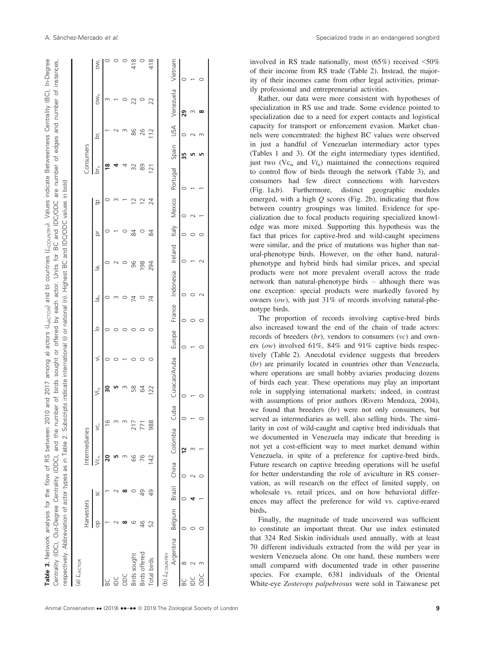| een 2010 and 2017 among a) actors (L <sub>ACTOR</sub> ) and b) countries (L <sub>COUNTRY</sub> ). Values indicate Betweenness Centrality (BC), In-Degr<br>$\frac{1}{2}$<br>ivsis for the flow of F<br>adle 3. Network |  |
|-----------------------------------------------------------------------------------------------------------------------------------------------------------------------------------------------------------------------|--|
| the number of birds sought or offered by each actor. Units for BC and IDC/ODC are number of edges and number of instances,<br>n n c<br>i<br>י<br>ב⊆                                                                   |  |
| 2. Subscripts indicate international (i) or national (n). Highest BC and IDC/ODC values in bold<br>ahla<br>I ul se s<br>$\frac{1}{2}$<br>$\ddot{\text{}}$<br>$\frac{1}{3}$                                            |  |

 $\omega$ 

| (a) L <sub>iACTOR</sub> |            |                 |         |                       |                 |                     |                    |        |                                      |               |    |                     |          |           |     |                 |                 |
|-------------------------|------------|-----------------|---------|-----------------------|-----------------|---------------------|--------------------|--------|--------------------------------------|---------------|----|---------------------|----------|-----------|-----|-----------------|-----------------|
|                         | Harvesters |                 |         | Intermediaries        |                 |                     |                    |        |                                      |               |    |                     |          | Consumers |     |                 |                 |
|                         | 8          | SC              | $\zeta$ | ÿ                     |                 | Ξ<br>$\overline{z}$ | $\overline{\circ}$ |        | $\overline{\sigma}$<br>$\frac{d}{2}$ |               | ă  | a1,                 | δŕ       |           | δï  | OW <sub>n</sub> | OW <sub>i</sub> |
| 9C                      |            |                 |         |                       | $\frac{6}{2}$   | ສ                   |                    |        |                                      |               |    |                     | ≌        |           |     |                 |                 |
| ≧                       |            |                 |         |                       |                 |                     |                    |        |                                      |               |    |                     |          |           |     |                 |                 |
| ODC                     |            |                 |         |                       |                 |                     |                    |        |                                      |               |    |                     |          |           |     |                 |                 |
| Birds sought            | ဖ          |                 | 89      |                       | 217             | 58                  |                    |        | 74                                   | 96            | 84 | $\overline{ }$      | 32       |           | 86  | 22              | 418             |
| Birds offered           | 46         | 49              | 76      |                       | $\overline{71}$ | 84                  |                    |        |                                      | 198           |    | ŗ<br>$\overline{ }$ | 89       |           | 26  |                 | $\circ$         |
| Total birds             | 52         | $\overline{49}$ | 42      |                       | 988             | 122                 |                    |        | 74                                   | 294           | 84 | 24                  | 121      |           | 112 | 22              | 418             |
| (b) Licouviry           |            |                 |         |                       |                 |                     |                    |        |                                      |               |    |                     |          |           |     |                 |                 |
| Argentina               | Belgium    |                 |         | Brazil China Colombia |                 | Cuba Curacao/Aruba  | Europe             | France | Indonesia                            | Ireland Italy |    | Mexico              | Portugal | Spain     | USA | Venezuela       | Vietnam         |
| ∞<br>BC                 |            |                 |         | $\overline{2}$        |                 |                     |                    |        |                                      |               |    |                     |          | 35        |     | 29              |                 |
| $\subseteq$             |            |                 |         |                       |                 |                     |                    |        |                                      |               |    |                     |          |           |     |                 |                 |
| ODC                     |            |                 |         |                       |                 |                     |                    |        |                                      |               |    |                     |          |           |     |                 |                 |
|                         |            |                 |         |                       |                 |                     |                    |        |                                      |               |    |                     |          |           |     |                 |                 |

involved in RS trade nationally, most (65%) received <50% of their income from RS trade (Table 2). Instead, the majority of their incomes came from other legal activities, primarily professional and entrepreneurial activities.

Rather, our data were more consistent with hypotheses of specialization in RS use and trade. Some evidence pointed to specialization due to a need for expert contacts and logistical capacity for transport or enforcement evasion. Market channels were concentrated: the highest BC values were observed in just a handful of Venezuelan intermediary actor types (Tables 1 and 3). Of the eight intermediary types identified, just two ( $Vc_n$  and  $Vi_n$ ) maintained the connections required to control flow of birds through the network (Table 3), and consumers had few direct connections with harvesters (Fig. 1a,b). Furthermore, distinct geographic modules emerged, with a high  $Q$  scores (Fig. 2b), indicating that flow between country groupings was limited. Evidence for specialization due to focal products requiring specialized knowledge was more mixed. Supporting this hypothesis was the fact that prices for captive-bred and wild-caught specimens were similar, and the price of mutations was higher than natural-phenotype birds. However, on the other hand, naturalphenotype and hybrid birds had similar prices, and special products were not more prevalent overall across the trade network than natural-phenotype birds – although there was one exception: special products were markedly favored by owners (ow), with just 31% of records involving natural-phenotype birds.

The proportion of records involving captive-bred birds also increased toward the end of the chain of trade actors: records of breeders  $(br)$ , vendors to consumers  $(vc)$  and owners (ow) involved 61%, 84% and 91% captive birds respectively (Table 2). Anecdotal evidence suggests that breeders (br) are primarily located in countries other than Venezuela, where operations are small hobby aviaries producing dozens of birds each year. These operations may play an important role in supplying international markets; indeed, in contrast with assumptions of prior authors (Rivero Mendoza, 2004), we found that breeders (br) were not only consumers, but served as intermediaries as well, also selling birds. The similarity in cost of wild-caught and captive bred individuals that we documented in Venezuela may indicate that breeding is not yet a cost-efficient way to meet market demand within Venezuela, in spite of a preference for captive-bred birds. Future research on captive breeding operations will be useful for better understanding the role of aviculture in RS conservation, as will research on the effect of limited supply, on wholesale vs. retail prices, and on how behavioral differences may affect the preference for wild vs. captive-reared birds.

Finally, the magnitude of trade uncovered was sufficient to constitute an important threat. Our use index estimated that 324 Red Siskin individuals used annually, with at least 70 different individuals extracted from the wild per year in western Venezuela alone. On one hand, these numbers were small compared with documented trade in other passerine species. For example, 6381 individuals of the Oriental White-eye Zosterops palpebrosus were sold in Taiwanese pet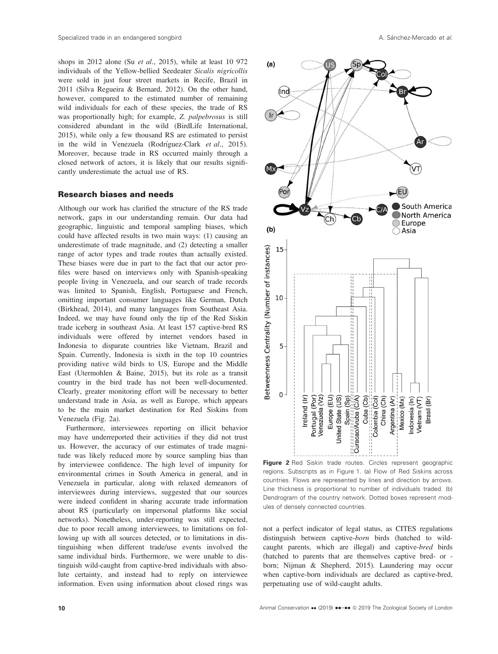shops in 2012 alone (Su et al., 2015), while at least 10 972 individuals of the Yellow-bellied Seedeater Sicalis nigricollis were sold in just four street markets in Recife, Brazil in 2011 (Silva Regueira & Bernard, 2012). On the other hand, however, compared to the estimated number of remaining wild individuals for each of these species, the trade of RS was proportionally high; for example, Z. palpebrosus is still considered abundant in the wild (BirdLife International, 2015), while only a few thousand RS are estimated to persist in the wild in Venezuela (Rodríguez-Clark et al., 2015). Moreover, because trade in RS occurred mainly through a closed network of actors, it is likely that our results significantly underestimate the actual use of RS.

#### Research biases and needs

Although our work has clarified the structure of the RS trade network, gaps in our understanding remain. Our data had geographic, linguistic and temporal sampling biases, which could have affected results in two main ways: (1) causing an underestimate of trade magnitude, and (2) detecting a smaller range of actor types and trade routes than actually existed. These biases were due in part to the fact that our actor profiles were based on interviews only with Spanish-speaking people living in Venezuela, and our search of trade records was limited to Spanish, English, Portuguese and French, omitting important consumer languages like German, Dutch (Birkhead, 2014), and many languages from Southeast Asia. Indeed, we may have found only the tip of the Red Siskin trade iceberg in southeast Asia. At least 157 captive-bred RS individuals were offered by internet vendors based in Indonesia to disparate countries like Vietnam, Brazil and Spain. Currently, Indonesia is sixth in the top 10 countries providing native wild birds to US, Europe and the Middle East (Utermohlen & Baine, 2015), but its role as a transit country in the bird trade has not been well-documented. Clearly, greater monitoring effort will be necessary to better understand trade in Asia, as well as Europe, which appears to be the main market destination for Red Siskins from Venezuela (Fig. 2a).

Furthermore, interviewees reporting on illicit behavior may have underreported their activities if they did not trust us. However, the accuracy of our estimates of trade magnitude was likely reduced more by source sampling bias than by interviewee confidence. The high level of impunity for environmental crimes in South America in general, and in Venezuela in particular, along with relaxed demeanors of interviewees during interviews, suggested that our sources were indeed confident in sharing accurate trade information about RS (particularly on impersonal platforms like social networks). Nonetheless, under-reporting was still expected, due to poor recall among interviewees, to limitations on following up with all sources detected, or to limitations in distinguishing when different trade/use events involved the same individual birds. Furthermore, we were unable to distinguish wild-caught from captive-bred individuals with absolute certainty, and instead had to reply on interviewee information. Even using information about closed rings was



Figure 2 Red Siskin trade routes. Circles represent geographic regions. Subscripts as in Figure 1. (a) Flow of Red Siskins across countries. Flows are represented by lines and direction by arrows. Line thickness is proportional to number of individuals traded. (b) Dendrogram of the country network. Dotted boxes represent modules of densely connected countries.

not a perfect indicator of legal status, as CITES regulations distinguish between captive-born birds (hatched to wildcaught parents, which are illegal) and captive-bred birds (hatched to parents that are themselves captive bred- or born; Nijman & Shepherd, 2015). Laundering may occur when captive-born individuals are declared as captive-bred, perpetuating use of wild-caught adults.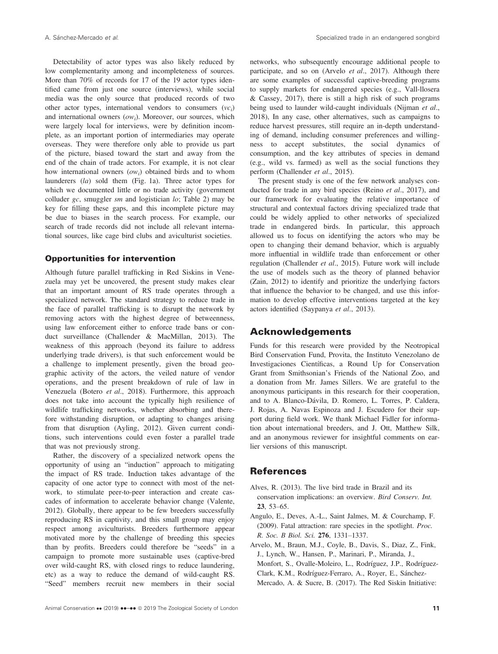Detectability of actor types was also likely reduced by low complementarity among and incompleteness of sources. More than 70% of records for 17 of the 19 actor types identified came from just one source (interviews), while social media was the only source that produced records of two other actor types, international vendors to consumers  $(vc_i)$ and international owners  $(ow_i)$ . Moreover, our sources, which were largely local for interviews, were by definition incomplete, as an important portion of intermediaries may operate overseas. They were therefore only able to provide us part of the picture, biased toward the start and away from the end of the chain of trade actors. For example, it is not clear how international owners  $(ow_i)$  obtained birds and to whom launderers (la) sold them (Fig. 1a). Three actor types for which we documented little or no trade activity (government colluder  $gc$ , smuggler  $sm$  and logistician  $lo$ ; Table 2) may be key for filling these gaps, and this incomplete picture may be due to biases in the search process. For example, our search of trade records did not include all relevant international sources, like cage bird clubs and aviculturist societies.

#### Opportunities for intervention

Although future parallel trafficking in Red Siskins in Venezuela may yet be uncovered, the present study makes clear that an important amount of RS trade operates through a specialized network. The standard strategy to reduce trade in the face of parallel trafficking is to disrupt the network by removing actors with the highest degree of betweenness, using law enforcement either to enforce trade bans or conduct surveillance (Challender & MacMillan, 2013). The weakness of this approach (beyond its failure to address underlying trade drivers), is that such enforcement would be a challenge to implement presently, given the broad geographic activity of the actors, the veiled nature of vendor operations, and the present breakdown of rule of law in Venezuela (Botero et al., 2018). Furthermore, this approach does not take into account the typically high resilience of wildlife trafficking networks, whether absorbing and therefore withstanding disruption, or adapting to changes arising from that disruption (Ayling, 2012). Given current conditions, such interventions could even foster a parallel trade that was not previously strong.

Rather, the discovery of a specialized network opens the opportunity of using an "induction" approach to mitigating the impact of RS trade. Induction takes advantage of the capacity of one actor type to connect with most of the network, to stimulate peer-to-peer interaction and create cascades of information to accelerate behavior change (Valente, 2012). Globally, there appear to be few breeders successfully reproducing RS in captivity, and this small group may enjoy respect among aviculturists. Breeders furthermore appear motivated more by the challenge of breeding this species than by profits. Breeders could therefore be "seeds" in a campaign to promote more sustainable uses (captive-bred over wild-caught RS, with closed rings to reduce laundering, etc) as a way to reduce the demand of wild-caught RS. "Seed" members recruit new members in their social networks, who subsequently encourage additional people to participate, and so on (Arvelo et al., 2017). Although there are some examples of successful captive-breeding programs to supply markets for endangered species (e.g., Vall-llosera & Cassey, 2017), there is still a high risk of such programs being used to launder wild-caught individuals (Nijman et al., 2018), In any case, other alternatives, such as campaigns to reduce harvest pressures, still require an in-depth understanding of demand, including consumer preferences and willingness to accept substitutes, the social dynamics of consumption, and the key attributes of species in demand (e.g., wild vs. farmed) as well as the social functions they perform (Challender et al., 2015).

The present study is one of the few network analyses conducted for trade in any bird species (Reino et al., 2017), and our framework for evaluating the relative importance of structural and contextual factors driving specialized trade that could be widely applied to other networks of specialized trade in endangered birds. In particular, this approach allowed us to focus on identifying the actors who may be open to changing their demand behavior, which is arguably more influential in wildlife trade than enforcement or other regulation (Challender et al., 2015). Future work will include the use of models such as the theory of planned behavior (Zain, 2012) to identify and prioritize the underlying factors that influence the behavior to be changed, and use this information to develop effective interventions targeted at the key actors identified (Saypanya et al., 2013).

### Acknowledgements

Funds for this research were provided by the Neotropical Bird Conservation Fund, Provita, the Instituto Venezolano de Investigaciones Científicas, a Round Up for Conservation Grant from Smithsonian's Friends of the National Zoo, and a donation from Mr. James Sillers. We are grateful to the anonymous participants in this research for their cooperation, and to A. Blanco-Dávila, D. Romero, L. Torres, P. Caldera, J. Rojas, A. Navas Espinoza and J. Escudero for their support during field work. We thank Michael Fidler for information about international breeders, and J. Ott, Matthew Silk, and an anonymous reviewer for insightful comments on earlier versions of this manuscript.

#### References

- Alves, R. (2013). The live bird trade in Brazil and its conservation implications: an overview. Bird Conserv. Int. 23, 53–65.
- Angulo, E., Deves, A.-L., Saint Jalmes, M. & Courchamp, F. (2009). Fatal attraction: rare species in the spotlight. Proc. R. Soc. B Biol. Sci. 276, 1331–1337.
- Arvelo, M., Braun, M.J., Coyle, B., Davis, S., Diaz, Z., Fink, J., Lynch, W., Hansen, P., Marinari, P., Miranda, J., Monfort, S., Ovalle-Moleiro, L., Rodríguez, J.P., Rodríguez-Clark, K.M., Rodríguez-Ferraro, A., Royer, E., Sánchez-Mercado, A. & Sucre, B. (2017). The Red Siskin Initiative: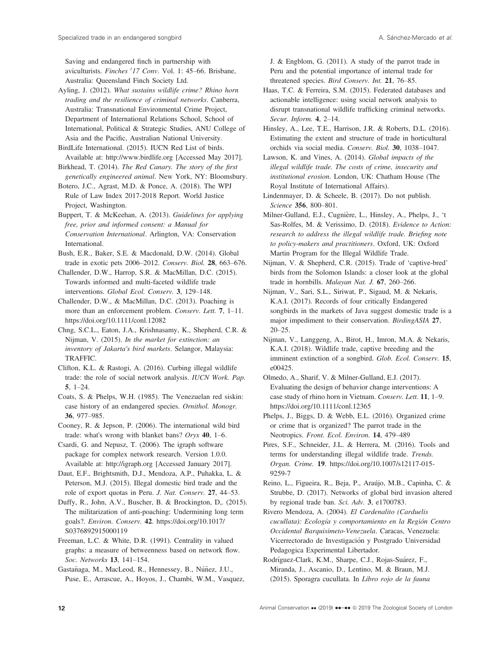Saving and endangered finch in partnership with aviculturists. Finches '17 Conv. Vol. 1: 45–66. Brisbane, Australia: Queensland Finch Society Ltd.

Ayling, J. (2012). What sustains wildlife crime? Rhino horn trading and the resilience of criminal networks. Canberra, Australia: Transnational Environmental Crime Project, Department of International Relations School, School of International, Political & Strategic Studies, ANU College of Asia and the Pacific, Australian National University.

BirdLife International. (2015). IUCN Red List of birds. Available at:<http://www.birdlife.org> [Accessed May 2017].

Birkhead, T. (2014). The Red Canary. The story of the first genetically engineered animal. New York, NY: Bloomsbury.

Botero, J.C., Agrast, M.D. & Ponce, A. (2018). The WPJ Rule of Law Index 2017-2018 Report. World Justice Project, Washington.

Buppert, T. & McKeehan, A. (2013). Guidelines for applying free, prior and informed consent: a Manual for Conservation International. Arlington, VA: Conservation International.

Bush, E.R., Baker, S.E. & Macdonald, D.W. (2014). Global trade in exotic pets 2006–2012. Conserv. Biol. 28, 663–676.

Challender, D.W., Harrop, S.R. & MacMillan, D.C. (2015). Towards informed and multi-faceted wildlife trade interventions. Global Ecol. Conserv. 3, 129–148.

Challender, D.W., & MacMillan, D.C. (2013). Poaching is more than an enforcement problem. Conserv. Lett. 7, 1–11. <https://doi.org/10.1111/conl.12082>

Chng, S.C.L., Eaton, J.A., Krishnasamy, K., Shepherd, C.R. & Nijman, V. (2015). In the market for extinction: an inventory of Jakarta's bird markets. Selangor, Malaysia: TRAFFIC.

Clifton, K.L. & Rastogi, A. (2016). Curbing illegal wildlife trade: the role of social network analysis. IUCN Work. Pap. 5, 1–24.

Coats, S. & Phelps, W.H. (1985). The Venezuelan red siskin: case history of an endangered species. Ornithol. Monogr. 36, 977–985.

Cooney, R. & Jepson, P. (2006). The international wild bird trade: what's wrong with blanket bans? Oryx 40, 1–6.

Csardi, G. and Nepusz, T. (2006). The igraph software package for complex network research. Version 1.0.0. Available at:<http://igraph.org> [Accessed January 2017].

Daut, E.F., Brightsmith, D.J., Mendoza, A.P., Puhakka, L. & Peterson, M.J. (2015). Illegal domestic bird trade and the role of export quotas in Peru. J. Nat. Conserv. 27, 44–53.

Duffy, R., John, A.V., Buscher, B. & Brockington, D,. (2015). The militarization of anti-poaching: Undermining long term goals?. Environ. Conserv. 42. [https://doi.org/10.1017/](https://doi.org/10.1017/S0376892915000119) [S0376892915000119](https://doi.org/10.1017/S0376892915000119)

Freeman, L.C. & White, D.R. (1991). Centrality in valued graphs: a measure of betweenness based on network flow. Soc. Networks 13, 141–154.

Gastañaga, M., MacLeod, R., Hennessey, B., Núñez, J.U., Puse, E., Arrascue, A., Hoyos, J., Chambi, W.M., Vasquez, J. & Engblom, G. (2011). A study of the parrot trade in Peru and the potential importance of internal trade for threatened species. Bird Conserv. Int. 21, 76–85.

Haas, T.C. & Ferreira, S.M. (2015). Federated databases and actionable intelligence: using social network analysis to disrupt transnational wildlife trafficking criminal networks. Secur. Inform. 4, 2–14.

Hinsley, A., Lee, T.E., Harrison, J.R. & Roberts, D.L. (2016). Estimating the extent and structure of trade in horticultural orchids via social media. Conserv. Biol. 30, 1038–1047.

Lawson, K. and Vines, A. (2014). Global impacts of the illegal wildlife trade. The costs of crime, insecurity and institutional erosion. London, UK: Chatham House (The Royal Institute of International Affairs).

Lindenmayer, D. & Scheele, B. (2017). Do not publish. Science 356, 800–801.

Milner-Gulland, E.J., Cugniere, L., Hinsley, A., Phelps, J., 't Sas-Rolfes, M. & Verissimo, D. (2018). Evidence to Action: research to address the illegal wildlife trade. Briefing note to policy-makers and practitioners. Oxford, UK: Oxford Martin Program for the Illegal Wildlife Trade.

Nijman, V. & Shepherd, C.R. (2015). Trade of 'captive-bred' birds from the Solomon Islands: a closer look at the global trade in hornbills. Malayan Nat. J. 67, 260–266.

Nijman, V., Sari, S.L., Siriwat, P., Sigaud, M. & Nekaris, K.A.I. (2017). Records of four critically Endangered songbirds in the markets of Java suggest domestic trade is a major impediment to their conservation. BirdingASIA 27, 20–25.

Nijman, V., Langgeng, A., Birot, H., Imron, M.A. & Nekaris, K.A.I. (2018). Wildlife trade, captive breeding and the imminent extinction of a songbird. Glob. Ecol. Conserv. 15, e00425.

Olmedo, A., Sharif, V. & Milner-Gulland, E.J. (2017). Evaluating the design of behavior change interventions: A case study of rhino horn in Vietnam. Conserv. Lett. 11, 1–9. <https://doi.org/10.1111/conl.12365>

Phelps, J., Biggs, D. & Webb, E.L. (2016). Organized crime or crime that is organized? The parrot trade in the Neotropics. Front. Ecol. Environ. 14, 479–489

Pires, S.F., Schneider, J.L. & Herrera, M. (2016). Tools and terms for understanding illegal wildlife trade. Trends. Organ. Crime. 19. [https://doi.org/10.1007/s12117-015-](https://doi.org/10.1007/s12117-015-9259-7) [9259-7](https://doi.org/10.1007/s12117-015-9259-7)

Reino, L., Figueira, R., Beja, P., Araujo, M.B., Capinha, C. & Strubbe, D. (2017). Networks of global bird invasion altered by regional trade ban. Sci. Adv. 3, e1700783.

Rivero Mendoza, A. (2004). El Cardenalito (Carduelis cucullata): Ecología y comportamiento en la Región Centro Occidental Barquisimeto-Venezuela. Caracas, Venezuela: Vicerrectorado de Investigacion y Postgrado Universidad Pedagogica Experimental Libertador.

Rodríguez-Clark, K.M., Sharpe, C.J., Rojas-Suárez, F., Miranda, J., Ascanio, D., Lentino, M. & Braun, M.J. (2015). Sporagra cucullata. In Libro rojo de la fauna